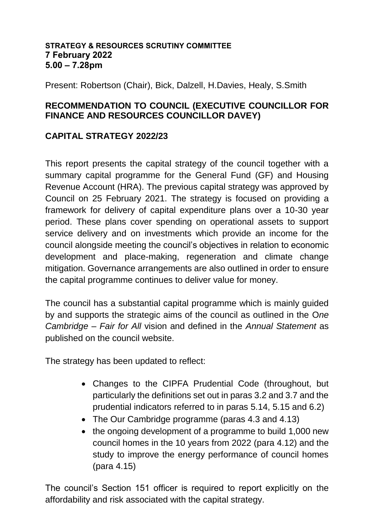## **STRATEGY & RESOURCES SCRUTINY COMMITTEE 7 February 2022 5.00 – 7.28pm**

Present: Robertson (Chair), Bick, Dalzell, H.Davies, Healy, S.Smith

## **RECOMMENDATION TO COUNCIL (EXECUTIVE COUNCILLOR FOR FINANCE AND RESOURCES COUNCILLOR DAVEY)**

## **CAPITAL STRATEGY 2022/23**

This report presents the capital strategy of the council together with a summary capital programme for the General Fund (GF) and Housing Revenue Account (HRA). The previous capital strategy was approved by Council on 25 February 2021. The strategy is focused on providing a framework for delivery of capital expenditure plans over a 10-30 year period. These plans cover spending on operational assets to support service delivery and on investments which provide an income for the council alongside meeting the council's objectives in relation to economic development and place-making, regeneration and climate change mitigation. Governance arrangements are also outlined in order to ensure the capital programme continues to deliver value for money.

The council has a substantial capital programme which is mainly guided by and supports the strategic aims of the council as outlined in the O*ne Cambridge – Fair for All* vision and defined in the *Annual Statement* as published on the council website.

The strategy has been updated to reflect:

- Changes to the CIPFA Prudential Code (throughout, but particularly the definitions set out in paras 3.2 and 3.7 and the prudential indicators referred to in paras 5.14, 5.15 and 6.2)
- The Our Cambridge programme (paras 4.3 and 4.13)
- the ongoing development of a programme to build 1,000 new council homes in the 10 years from 2022 (para 4.12) and the study to improve the energy performance of council homes (para 4.15)

The council's Section 151 officer is required to report explicitly on the affordability and risk associated with the capital strategy.